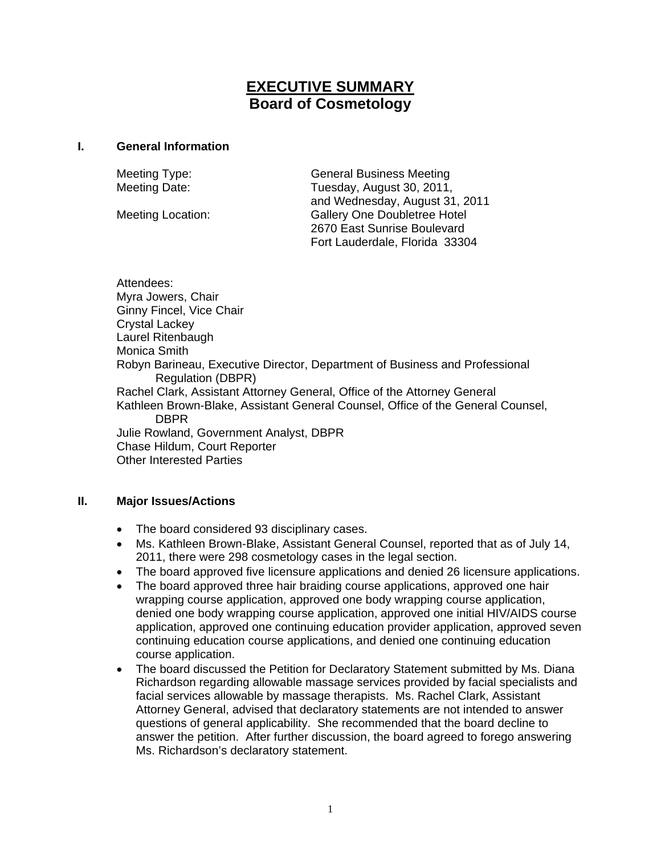# **EXECUTIVE SUMMARY Board of Cosmetology**

#### **I. General Information**

Meeting Type: General Business Meeting Meeting Date: Tuesday, August 30, 2011, and Wednesday, August 31, 2011 Meeting Location: Gallery One Doubletree Hotel 2670 East Sunrise Boulevard Fort Lauderdale, Florida 33304

Attendees: Myra Jowers, Chair Ginny Fincel, Vice Chair Crystal Lackey Laurel Ritenbaugh Monica Smith Robyn Barineau, Executive Director, Department of Business and Professional Regulation (DBPR) Rachel Clark, Assistant Attorney General, Office of the Attorney General Kathleen Brown-Blake, Assistant General Counsel, Office of the General Counsel, DBPR Julie Rowland, Government Analyst, DBPR Chase Hildum, Court Reporter Other Interested Parties

## **II. Major Issues/Actions**

- The board considered 93 disciplinary cases.
- Ms. Kathleen Brown-Blake, Assistant General Counsel, reported that as of July 14, 2011, there were 298 cosmetology cases in the legal section.
- The board approved five licensure applications and denied 26 licensure applications.
- The board approved three hair braiding course applications, approved one hair wrapping course application, approved one body wrapping course application, denied one body wrapping course application, approved one initial HIV/AIDS course application, approved one continuing education provider application, approved seven continuing education course applications, and denied one continuing education course application.
- The board discussed the Petition for Declaratory Statement submitted by Ms. Diana Richardson regarding allowable massage services provided by facial specialists and facial services allowable by massage therapists. Ms. Rachel Clark, Assistant Attorney General, advised that declaratory statements are not intended to answer questions of general applicability. She recommended that the board decline to answer the petition. After further discussion, the board agreed to forego answering Ms. Richardson's declaratory statement.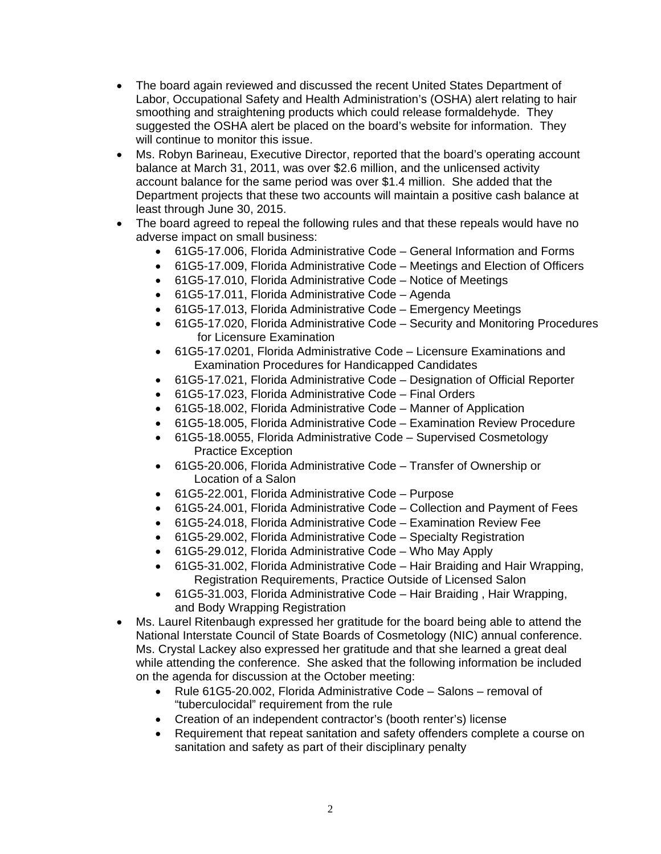- The board again reviewed and discussed the recent United States Department of Labor, Occupational Safety and Health Administration's (OSHA) alert relating to hair smoothing and straightening products which could release formaldehyde. They suggested the OSHA alert be placed on the board's website for information. They will continue to monitor this issue.
- Ms. Robyn Barineau, Executive Director, reported that the board's operating account balance at March 31, 2011, was over \$2.6 million, and the unlicensed activity account balance for the same period was over \$1.4 million. She added that the Department projects that these two accounts will maintain a positive cash balance at least through June 30, 2015.
- The board agreed to repeal the following rules and that these repeals would have no adverse impact on small business:
	- 61G5-17.006, Florida Administrative Code General Information and Forms
	- 61G5-17.009, Florida Administrative Code Meetings and Election of Officers
	- 61G5-17.010, Florida Administrative Code Notice of Meetings
	- 61G5-17.011, Florida Administrative Code Agenda
	- 61G5-17.013, Florida Administrative Code Emergency Meetings
	- 61G5-17.020, Florida Administrative Code Security and Monitoring Procedures for Licensure Examination
	- 61G5-17.0201, Florida Administrative Code Licensure Examinations and Examination Procedures for Handicapped Candidates
	- 61G5-17.021, Florida Administrative Code Designation of Official Reporter
	- 61G5-17.023, Florida Administrative Code Final Orders
	- 61G5-18.002, Florida Administrative Code Manner of Application
	- 61G5-18.005, Florida Administrative Code Examination Review Procedure
	- 61G5-18.0055, Florida Administrative Code Supervised Cosmetology Practice Exception
	- 61G5-20.006, Florida Administrative Code Transfer of Ownership or Location of a Salon
	- 61G5-22.001, Florida Administrative Code Purpose
	- 61G5-24.001, Florida Administrative Code Collection and Payment of Fees
	- 61G5-24.018, Florida Administrative Code Examination Review Fee
	- 61G5-29.002, Florida Administrative Code Specialty Registration
	- 61G5-29.012, Florida Administrative Code Who May Apply
	- 61G5-31.002, Florida Administrative Code Hair Braiding and Hair Wrapping, Registration Requirements, Practice Outside of Licensed Salon
	- 61G5-31.003, Florida Administrative Code Hair Braiding , Hair Wrapping, and Body Wrapping Registration
- Ms. Laurel Ritenbaugh expressed her gratitude for the board being able to attend the National Interstate Council of State Boards of Cosmetology (NIC) annual conference. Ms. Crystal Lackey also expressed her gratitude and that she learned a great deal while attending the conference. She asked that the following information be included on the agenda for discussion at the October meeting:
	- Rule 61G5-20.002, Florida Administrative Code Salons removal of "tuberculocidal" requirement from the rule
	- Creation of an independent contractor's (booth renter's) license
	- Requirement that repeat sanitation and safety offenders complete a course on sanitation and safety as part of their disciplinary penalty